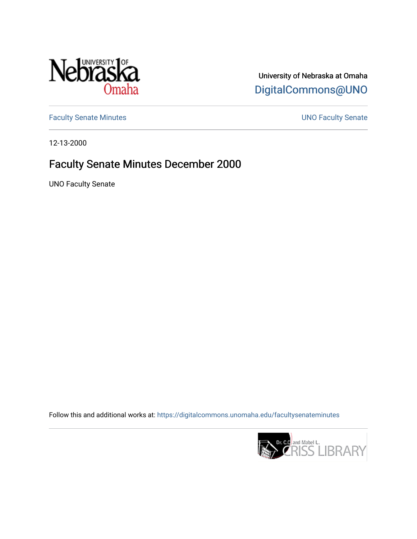

University of Nebraska at Omaha [DigitalCommons@UNO](https://digitalcommons.unomaha.edu/) 

[Faculty Senate Minutes](https://digitalcommons.unomaha.edu/facultysenateminutes) **Exercise Senate UNO Faculty Senate** 

12-13-2000

# Faculty Senate Minutes December 2000

UNO Faculty Senate

Follow this and additional works at: [https://digitalcommons.unomaha.edu/facultysenateminutes](https://digitalcommons.unomaha.edu/facultysenateminutes?utm_source=digitalcommons.unomaha.edu%2Ffacultysenateminutes%2F81&utm_medium=PDF&utm_campaign=PDFCoverPages) 

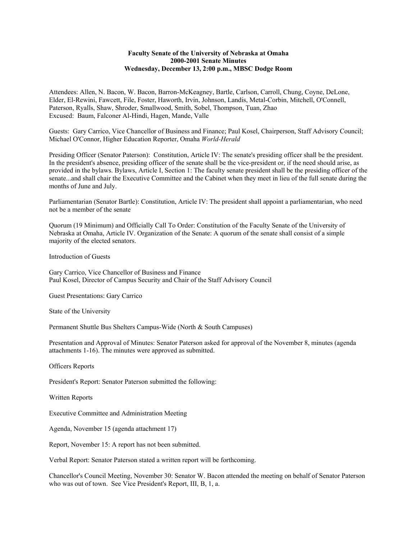# **Faculty Senate of the University of Nebraska at Omaha 2000-2001 Senate Minutes Wednesday, December 13, 2:00 p.m., MBSC Dodge Room**

Attendees: Allen, N. Bacon, W. Bacon, Barron-McKeagney, Bartle, Carlson, Carroll, Chung, Coyne, DeLone, Elder, El-Rewini, Fawcett, File, Foster, Haworth, Irvin, Johnson, Landis, Metal-Corbin, Mitchell, O'Connell, Paterson, Ryalls, Shaw, Shroder, Smallwood, Smith, Sobel, Thompson, Tuan, Zhao Excused: Baum, Falconer Al-Hindi, Hagen, Mande, Valle

Guests: Gary Carrico, Vice Chancellor of Business and Finance; Paul Kosel, Chairperson, Staff Advisory Council; Michael O'Connor, Higher Education Reporter, Omaha *World-Herald*

Presiding Officer (Senator Paterson): Constitution, Article IV: The senate's presiding officer shall be the president. In the president's absence, presiding officer of the senate shall be the vice-president or, if the need should arise, as provided in the bylaws. Bylaws, Article I, Section 1: The faculty senate president shall be the presiding officer of the senate...and shall chair the Executive Committee and the Cabinet when they meet in lieu of the full senate during the months of June and July.

Parliamentarian (Senator Bartle): Constitution, Article IV: The president shall appoint a parliamentarian, who need not be a member of the senate

Quorum (19 Minimum) and Officially Call To Order: Constitution of the Faculty Senate of the University of Nebraska at Omaha, Article IV. Organization of the Senate: A quorum of the senate shall consist of a simple majority of the elected senators.

Introduction of Guests

Gary Carrico, Vice Chancellor of Business and Finance Paul Kosel, Director of Campus Security and Chair of the Staff Advisory Council

Guest Presentations: Gary Carrico

State of the University

Permanent Shuttle Bus Shelters Campus-Wide (North & South Campuses)

Presentation and Approval of Minutes: Senator Paterson asked for approval of the November 8, minutes (agenda attachments 1-16). The minutes were approved as submitted.

Officers Reports

President's Report: Senator Paterson submitted the following:

Written Reports

Executive Committee and Administration Meeting

Agenda, November 15 (agenda attachment 17)

Report, November 15: A report has not been submitted.

Verbal Report: Senator Paterson stated a written report will be forthcoming.

Chancellor's Council Meeting, November 30: Senator W. Bacon attended the meeting on behalf of Senator Paterson who was out of town. See Vice President's Report, III, B, 1, a.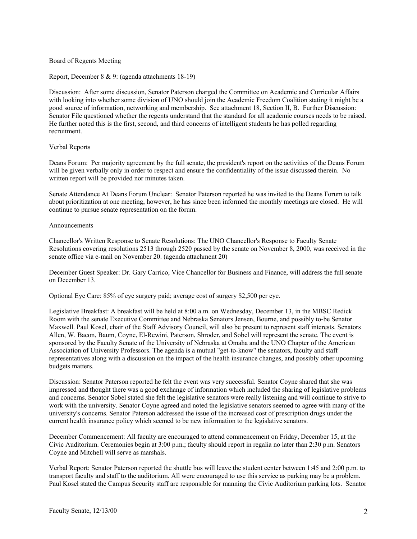## Board of Regents Meeting

Report, December 8 & 9: (agenda attachments 18-19)

Discussion: After some discussion, Senator Paterson charged the Committee on Academic and Curricular Affairs with looking into whether some division of UNO should join the Academic Freedom Coalition stating it might be a good source of information, networking and membership. See attachment 18, Section II, B. Further Discussion: Senator File questioned whether the regents understand that the standard for all academic courses needs to be raised. He further noted this is the first, second, and third concerns of intelligent students he has polled regarding recruitment.

# Verbal Reports

Deans Forum: Per majority agreement by the full senate, the president's report on the activities of the Deans Forum will be given verbally only in order to respect and ensure the confidentiality of the issue discussed therein. No written report will be provided nor minutes taken.

Senate Attendance At Deans Forum Unclear: Senator Paterson reported he was invited to the Deans Forum to talk about prioritization at one meeting, however, he has since been informed the monthly meetings are closed. He will continue to pursue senate representation on the forum.

#### Announcements

Chancellor's Written Response to Senate Resolutions: The UNO Chancellor's Response to Faculty Senate Resolutions covering resolutions 2513 through 2520 passed by the senate on November 8, 2000, was received in the senate office via e-mail on November 20. (agenda attachment 20)

December Guest Speaker: Dr. Gary Carrico, Vice Chancellor for Business and Finance, will address the full senate on December 13.

Optional Eye Care: 85% of eye surgery paid; average cost of surgery \$2,500 per eye.

Legislative Breakfast: A breakfast will be held at 8:00 a.m. on Wednesday, December 13, in the MBSC Redick Room with the senate Executive Committee and Nebraska Senators Jensen, Bourne, and possibly to-be Senator Maxwell. Paul Kosel, chair of the Staff Advisory Council, will also be present to represent staff interests. Senators Allen, W. Bacon, Baum, Coyne, El-Rewini, Paterson, Shroder, and Sobel will represent the senate. The event is sponsored by the Faculty Senate of the University of Nebraska at Omaha and the UNO Chapter of the American Association of University Professors. The agenda is a mutual "get-to-know" the senators, faculty and staff representatives along with a discussion on the impact of the health insurance changes, and possibly other upcoming budgets matters.

Discussion: Senator Paterson reported he felt the event was very successful. Senator Coyne shared that she was impressed and thought there was a good exchange of information which included the sharing of legislative problems and concerns. Senator Sobel stated she felt the legislative senators were really listening and will continue to strive to work with the university. Senator Coyne agreed and noted the legislative senators seemed to agree with many of the university's concerns. Senator Paterson addressed the issue of the increased cost of prescription drugs under the current health insurance policy which seemed to be new information to the legislative senators.

December Commencement: All faculty are encouraged to attend commencement on Friday, December 15, at the Civic Auditorium. Ceremonies begin at 3:00 p.m.; faculty should report in regalia no later than 2:30 p.m. Senators Coyne and Mitchell will serve as marshals.

Verbal Report: Senator Paterson reported the shuttle bus will leave the student center between 1:45 and 2:00 p.m. to transport faculty and staff to the auditorium. All were encouraged to use this service as parking may be a problem. Paul Kosel stated the Campus Security staff are responsible for manning the Civic Auditorium parking lots. Senator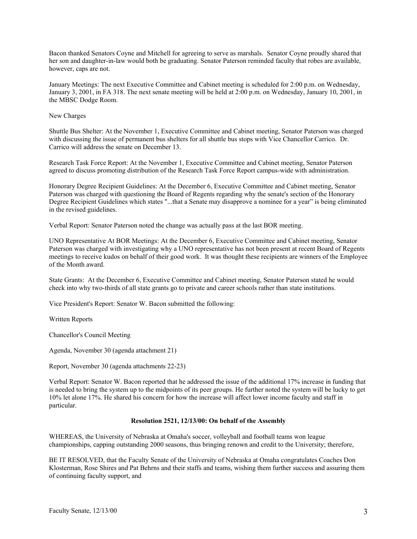Bacon thanked Senators Coyne and Mitchell for agreeing to serve as marshals. Senator Coyne proudly shared that her son and daughter-in-law would both be graduating. Senator Paterson reminded faculty that robes are available, however, caps are not.

January Meetings: The next Executive Committee and Cabinet meeting is scheduled for 2:00 p.m. on Wednesday, January 3, 2001, in FA 318. The next senate meeting will be held at 2:00 p.m. on Wednesday, January 10, 2001, in the MBSC Dodge Room.

# New Charges

Shuttle Bus Shelter: At the November 1, Executive Committee and Cabinet meeting, Senator Paterson was charged with discussing the issue of permanent bus shelters for all shuttle bus stops with Vice Chancellor Carrico. Dr. Carrico will address the senate on December 13.

Research Task Force Report: At the November 1, Executive Committee and Cabinet meeting, Senator Paterson agreed to discuss promoting distribution of the Research Task Force Report campus-wide with administration.

Honorary Degree Recipient Guidelines: At the December 6, Executive Committee and Cabinet meeting, Senator Paterson was charged with questioning the Board of Regents regarding why the senate's section of the Honorary Degree Recipient Guidelines which states "...that a Senate may disapprove a nominee for a year" is being eliminated in the revised guidelines.

Verbal Report: Senator Paterson noted the change was actually pass at the last BOR meeting.

UNO Representative At BOR Meetings: At the December 6, Executive Committee and Cabinet meeting, Senator Paterson was charged with investigating why a UNO representative has not been present at recent Board of Regents meetings to receive kudos on behalf of their good work. It was thought these recipients are winners of the Employee of the Month award.

State Grants: At the December 6, Executive Committee and Cabinet meeting, Senator Paterson stated he would check into why two-thirds of all state grants go to private and career schools rather than state institutions.

Vice President's Report: Senator W. Bacon submitted the following:

Written Reports

Chancellor's Council Meeting

Agenda, November 30 (agenda attachment 21)

Report, November 30 (agenda attachments 22-23)

Verbal Report: Senator W. Bacon reported that he addressed the issue of the additional 17% increase in funding that is needed to bring the system up to the midpoints of its peer groups. He further noted the system will be lucky to get 10% let alone 17%. He shared his concern for how the increase will affect lower income faculty and staff in particular.

#### **Resolution 2521, 12/13/00: On behalf of the Assembly**

WHEREAS, the University of Nebraska at Omaha's soccer, volleyball and football teams won league championships, capping outstanding 2000 seasons, thus bringing renown and credit to the University; therefore,

BE IT RESOLVED, that the Faculty Senate of the University of Nebraska at Omaha congratulates Coaches Don Klosterman, Rose Shires and Pat Behrns and their staffs and teams, wishing them further success and assuring them of continuing faculty support, and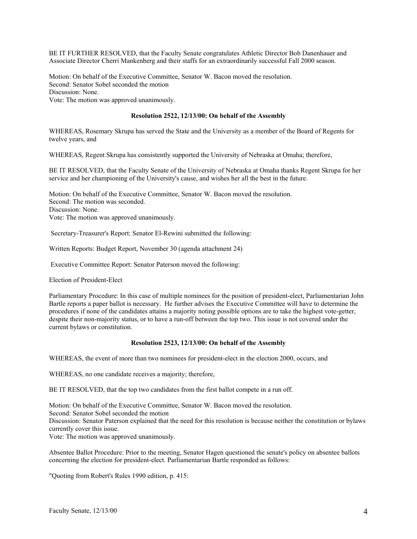BE IT FURTHER RESOLVED, that the Faculty Senate congratulates Athletic Director Bob Danenhauer and Associate Director Cherri Mankenberg and their staffs for an extraordinarily successful Fall 2000 season.

Motion: On behalf of the Executive Committee, Senator W. Bacon moved the resolution. Second: Senator Sobel seconded the motion Discussion: None. Vote: The motion was approved unanimously.

## **Resolution 2522, 12/13/00: On behalf of the Assembly**

WHEREAS, Rosemary Skrupa has served the State and the University as a member of the Board of Regents for twelve years, and

WHEREAS, Regent Skrupa has consistently supported the University of Nebraska at Omaha; therefore,

BE IT RESOLVED, that the Faculty Senate of the University of Nebraska at Omaha thanks Regent Skrupa for her service and her championing of the University's cause, and wishes her all the best in the future.

Motion: On behalf of the Executive Committee, Senator W. Bacon moved the resolution. Second: The motion was seconded. Discussion: None. Vote: The motion was approved unanimously.

Secretary-Treasurer's Report: Senator El-Rewini submitted the following:

Written Reports: Budget Report, November 30 (agenda attachment 24)

Executive Committee Report: Senator Paterson moved the following:

Election of President-Elect

Parliamentary Procedure: In this case of multiple nominees for the position of president-elect, Parliamentarian John Bartle reports a paper ballot is necessary. He further advises the Executive Committee will have to determine the procedures if none of the candidates attains a majority noting possible options are to take the highest vote-getter, despite their non-majority status, or to have a run-off between the top two. This issue is not covered under the current bylaws or constitution.

#### **Resolution 2523, 12/13/00: On behalf of the Assembly**

WHEREAS, the event of more than two nominees for president-elect in the election 2000, occurs, and

WHEREAS, no one candidate receives a majority; therefore,

BE IT RESOLVED, that the top two candidates from the first ballot compete in a run off.

Motion: On behalf of the Executive Committee, Senator W. Bacon moved the resolution.

Second: Senator Sobel seconded the motion

Discussion: Senator Paterson explained that the need for this resolution is because neither the constitution or bylaws currently cover this issue.

Vote: The motion was approved unanimously.

Absentee Ballot Procedure: Prior to the meeting, Senator Hagen questioned the senate's policy on absentee ballots concerning the election for president-elect. Parliamentarian Bartle responded as follows:

"Quoting from Robert's Rules 1990 edition, p. 415: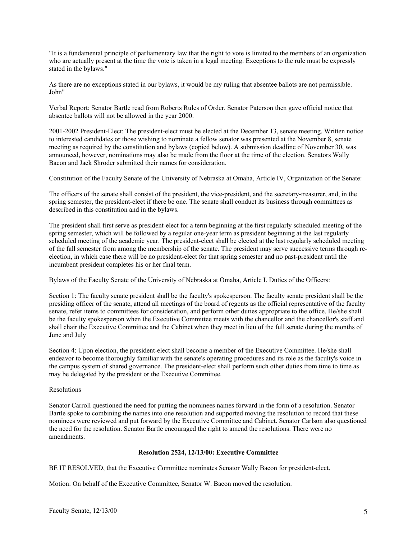"It is a fundamental principle of parliamentary law that the right to vote is limited to the members of an organization who are actually present at the time the vote is taken in a legal meeting. Exceptions to the rule must be expressly stated in the bylaws."

As there are no exceptions stated in our bylaws, it would be my ruling that absentee ballots are not permissible. John"

Verbal Report: Senator Bartle read from Roberts Rules of Order. Senator Paterson then gave official notice that absentee ballots will not be allowed in the year 2000.

2001-2002 President-Elect: The president-elect must be elected at the December 13, senate meeting. Written notice to interested candidates or those wishing to nominate a fellow senator was presented at the November 8, senate meeting as required by the constitution and bylaws (copied below). A submission deadline of November 30, was announced, however, nominations may also be made from the floor at the time of the election. Senators Wally Bacon and Jack Shroder submitted their names for consideration.

Constitution of the Faculty Senate of the University of Nebraska at Omaha, Article IV, Organization of the Senate:

The officers of the senate shall consist of the president, the vice-president, and the secretary-treasurer, and, in the spring semester, the president-elect if there be one. The senate shall conduct its business through committees as described in this constitution and in the bylaws.

The president shall first serve as president-elect for a term beginning at the first regularly scheduled meeting of the spring semester, which will be followed by a regular one-year term as president beginning at the last regularly scheduled meeting of the academic year. The president-elect shall be elected at the last regularly scheduled meeting of the fall semester from among the membership of the senate. The president may serve successive terms through reelection, in which case there will be no president-elect for that spring semester and no past-president until the incumbent president completes his or her final term.

Bylaws of the Faculty Senate of the University of Nebraska at Omaha, Article I. Duties of the Officers:

Section 1: The faculty senate president shall be the faculty's spokesperson. The faculty senate president shall be the presiding officer of the senate, attend all meetings of the board of regents as the official representative of the faculty senate, refer items to committees for consideration, and perform other duties appropriate to the office. He/she shall be the faculty spokesperson when the Executive Committee meets with the chancellor and the chancellor's staff and shall chair the Executive Committee and the Cabinet when they meet in lieu of the full senate during the months of June and July

Section 4: Upon election, the president-elect shall become a member of the Executive Committee. He/she shall endeavor to become thoroughly familiar with the senate's operating procedures and its role as the faculty's voice in the campus system of shared governance. The president-elect shall perform such other duties from time to time as may be delegated by the president or the Executive Committee.

# Resolutions

Senator Carroll questioned the need for putting the nominees names forward in the form of a resolution. Senator Bartle spoke to combining the names into one resolution and supported moving the resolution to record that these nominees were reviewed and put forward by the Executive Committee and Cabinet. Senator Carlson also questioned the need for the resolution. Senator Bartle encouraged the right to amend the resolutions. There were no amendments.

# **Resolution 2524, 12/13/00: Executive Committee**

BE IT RESOLVED, that the Executive Committee nominates Senator Wally Bacon for president-elect.

Motion: On behalf of the Executive Committee, Senator W. Bacon moved the resolution.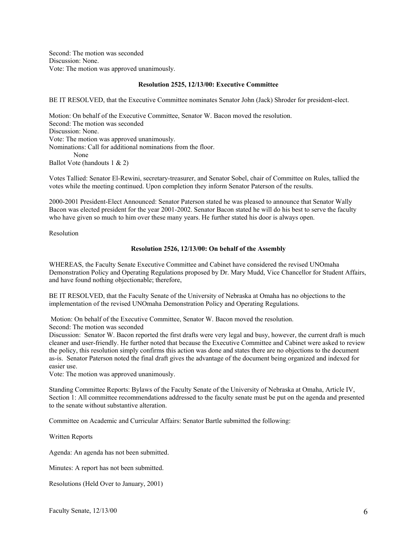Second: The motion was seconded Discussion: None. Vote: The motion was approved unanimously.

## **Resolution 2525, 12/13/00: Executive Committee**

BE IT RESOLVED, that the Executive Committee nominates Senator John (Jack) Shroder for president-elect.

Motion: On behalf of the Executive Committee, Senator W. Bacon moved the resolution. Second: The motion was seconded Discussion: None. Vote: The motion was approved unanimously. Nominations: Call for additional nominations from the floor. None Ballot Vote (handouts 1 & 2)

Votes Tallied: Senator El-Rewini, secretary-treasurer, and Senator Sobel, chair of Committee on Rules, tallied the votes while the meeting continued. Upon completion they inform Senator Paterson of the results.

2000-2001 President-Elect Announced: Senator Paterson stated he was pleased to announce that Senator Wally Bacon was elected president for the year 2001-2002. Senator Bacon stated he will do his best to serve the faculty who have given so much to him over these many years. He further stated his door is always open.

Resolution

#### **Resolution 2526, 12/13/00: On behalf of the Assembly**

WHEREAS, the Faculty Senate Executive Committee and Cabinet have considered the revised UNOmaha Demonstration Policy and Operating Regulations proposed by Dr. Mary Mudd, Vice Chancellor for Student Affairs, and have found nothing objectionable; therefore,

BE IT RESOLVED, that the Faculty Senate of the University of Nebraska at Omaha has no objections to the implementation of the revised UNOmaha Demonstration Policy and Operating Regulations.

Motion: On behalf of the Executive Committee, Senator W. Bacon moved the resolution.

Second: The motion was seconded

Discussion: Senator W. Bacon reported the first drafts were very legal and busy, however, the current draft is much cleaner and user-friendly. He further noted that because the Executive Committee and Cabinet were asked to review the policy, this resolution simply confirms this action was done and states there are no objections to the document as-is. Senator Paterson noted the final draft gives the advantage of the document being organized and indexed for easier use.

Vote: The motion was approved unanimously.

Standing Committee Reports: Bylaws of the Faculty Senate of the University of Nebraska at Omaha, Article IV, Section 1: All committee recommendations addressed to the faculty senate must be put on the agenda and presented to the senate without substantive alteration.

Committee on Academic and Curricular Affairs: Senator Bartle submitted the following:

Written Reports

Agenda: An agenda has not been submitted.

Minutes: A report has not been submitted.

Resolutions (Held Over to January, 2001)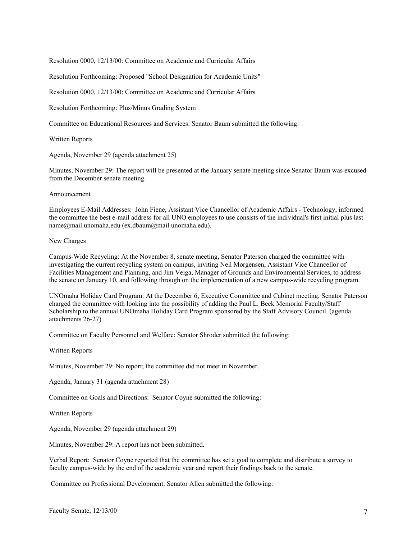Resolution 0000, 12/13/00: Committee on Academic and Curricular Affairs

Resolution Forthcoming: Proposed "School Designation for Academic Units"

Resolution 0000, 12/13/00: Committee on Academic and Curricular Affairs

Resolution Forthcoming: Plus/Minus Grading System

Committee on Educational Resources and Services: Senator Baum submitted the following:

Written Reports

Agenda, November 29 (agenda attachment 25)

Minutes, November 29: The report will be presented at the January senate meeting since Senator Baum was excused from the December senate meeting.

#### Announcement

Employees E-Mail Addresses: John Fiene, Assistant Vice Chancellor of Academic Affairs - Technology, informed the committee the best e-mail address for all UNO employees to use consists of the individual's first initial plus last name@mail.unomaha.edu (ex.dbaum@mail.unomaha.edu).

#### New Charges

Campus-Wide Recycling: At the November 8, senate meeting, Senator Paterson charged the committee with investigating the current recycling system on campus, inviting Neil Morgensen, Assistant Vice Chancellor of Facilities Management and Planning, and Jim Veiga, Manager of Grounds and Environmental Services, to address the senate on January 10, and following through on the implementation of a new campus-wide recycling program.

UNOmaha Holiday Card Program: At the December 6, Executive Committee and Cabinet meeting, Senator Paterson charged the committee with looking into the possibility of adding the Paul L. Beck Memorial Faculty/Staff Scholarship to the annual UNOmaha Holiday Card Program sponsored by the Staff Advisory Council. (agenda attachments 26-27)

Committee on Faculty Personnel and Welfare: Senator Shroder submitted the following:

Written Reports

Minutes, November 29: No report; the committee did not meet in November.

Agenda, January 31 (agenda attachment 28)

Committee on Goals and Directions: Senator Coyne submitted the following:

Written Reports

Agenda, November 29 (agenda attachment 29)

Minutes, November 29: A report has not been submitted.

Verbal Report: Senator Coyne reported that the committee has set a goal to complete and distribute a survey to faculty campus-wide by the end of the academic year and report their findings back to the senate.

Committee on Professional Development: Senator Allen submitted the following: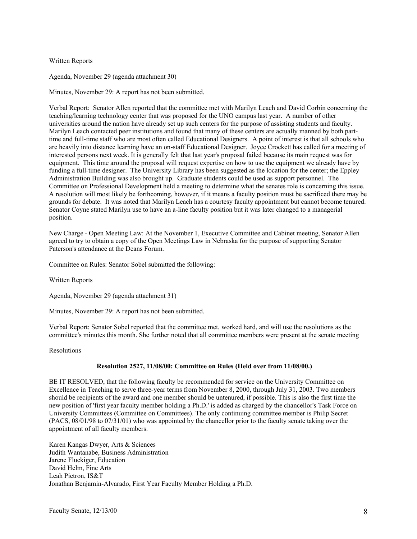# Written Reports

Agenda, November 29 (agenda attachment 30)

Minutes, November 29: A report has not been submitted.

Verbal Report: Senator Allen reported that the committee met with Marilyn Leach and David Corbin concerning the teaching/learning technology center that was proposed for the UNO campus last year. A number of other universities around the nation have already set up such centers for the purpose of assisting students and faculty. Marilyn Leach contacted peer institutions and found that many of these centers are actually manned by both parttime and full-time staff who are most often called Educational Designers. A point of interest is that all schools who are heavily into distance learning have an on-staff Educational Designer. Joyce Crockett has called for a meeting of interested persons next week. It is generally felt that last year's proposal failed because its main request was for equipment. This time around the proposal will request expertise on how to use the equipment we already have by funding a full-time designer. The University Library has been suggested as the location for the center; the Eppley Administration Building was also brought up. Graduate students could be used as support personnel. The Committee on Professional Development held a meeting to determine what the senates role is concerning this issue. A resolution will most likely be forthcoming, however, if it means a faculty position must be sacrificed there may be grounds for debate. It was noted that Marilyn Leach has a courtesy faculty appointment but cannot become tenured. Senator Coyne stated Marilyn use to have an a-line faculty position but it was later changed to a managerial position.

New Charge - Open Meeting Law: At the November 1, Executive Committee and Cabinet meeting, Senator Allen agreed to try to obtain a copy of the Open Meetings Law in Nebraska for the purpose of supporting Senator Paterson's attendance at the Deans Forum.

Committee on Rules: Senator Sobel submitted the following:

Written Reports

Agenda, November 29 (agenda attachment 31)

Minutes, November 29: A report has not been submitted.

Verbal Report: Senator Sobel reported that the committee met, worked hard, and will use the resolutions as the committee's minutes this month. She further noted that all committee members were present at the senate meeting

Resolutions

#### **Resolution 2527, 11/08/00: Committee on Rules (Held over from 11/08/00.)**

BE IT RESOLVED, that the following faculty be recommended for service on the University Committee on Excellence in Teaching to serve three-year terms from November 8, 2000, through July 31, 2003. Two members should be recipients of the award and one member should be untenured, if possible. This is also the first time the new position of 'first year faculty member holding a Ph.D.' is added as charged by the chancellor's Task Force on University Committees (Committee on Committees). The only continuing committee member is Philip Secret (PACS, 08/01/98 to 07/31/01) who was appointed by the chancellor prior to the faculty senate taking over the appointment of all faculty members.

Karen Kangas Dwyer, Arts & Sciences Judith Wantanabe, Business Administration Jarene Fluckiger, Education David Helm, Fine Arts Leah Pietron, IS&T Jonathan Benjamin-Alvarado, First Year Faculty Member Holding a Ph.D.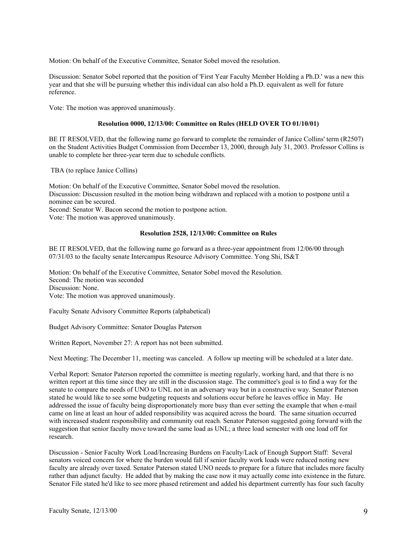Motion: On behalf of the Executive Committee, Senator Sobel moved the resolution.

Discussion: Senator Sobel reported that the position of 'First Year Faculty Member Holding a Ph.D.' was a new this year and that she will be pursuing whether this individual can also hold a Ph.D. equivalent as well for future reference.

Vote: The motion was approved unanimously.

# **Resolution 0000, 12/13/00: Committee on Rules (HELD OVER TO 01/10/01)**

BE IT RESOLVED, that the following name go forward to complete the remainder of Janice Collins' term (R2507) on the Student Activities Budget Commission from December 13, 2000, through July 31, 2003. Professor Collins is unable to complete her three-year term due to schedule conflicts.

TBA (to replace Janice Collins)

Motion: On behalf of the Executive Committee, Senator Sobel moved the resolution. Discussion: Discussion resulted in the motion being withdrawn and replaced with a motion to postpone until a nominee can be secured. Second: Senator W. Bacon second the motion to postpone action.

Vote: The motion was approved unanimously.

#### **Resolution 2528, 12/13/00: Committee on Rules**

BE IT RESOLVED, that the following name go forward as a three-year appointment from 12/06/00 through 07/31/03 to the faculty senate Intercampus Resource Advisory Committee. Yong Shi, IS&T

Motion: On behalf of the Executive Committee, Senator Sobel moved the Resolution. Second: The motion was seconded Discussion: None. Vote: The motion was approved unanimously.

Faculty Senate Advisory Committee Reports (alphabetical)

Budget Advisory Committee: Senator Douglas Paterson

Written Report, November 27: A report has not been submitted.

Next Meeting: The December 11, meeting was canceled. A follow up meeting will be scheduled at a later date.

Verbal Report: Senator Paterson reported the committee is meeting regularly, working hard, and that there is no written report at this time since they are still in the discussion stage. The committee's goal is to find a way for the senate to compare the needs of UNO to UNL not in an adversary way but in a constructive way. Senator Paterson stated he would like to see some budgeting requests and solutions occur before he leaves office in May. He addressed the issue of faculty being disproportionately more busy than ever setting the example that when e-mail came on line at least an hour of added responsibility was acquired across the board. The same situation occurred with increased student responsibility and community out reach. Senator Paterson suggested going forward with the suggestion that senior faculty move toward the same load as UNL; a three load semester with one load off for research.

Discussion - Senior Faculty Work Load/Increasing Burdens on Faculty/Lack of Enough Support Staff: Several senators voiced concern for where the burden would fall if senior faculty work loads were reduced noting new faculty are already over taxed. Senator Paterson stated UNO needs to prepare for a future that includes more faculty rather than adjunct faculty. He added that by making the case now it may actually come into existence in the future. Senator File stated he'd like to see more phased retirement and added his department currently has four such faculty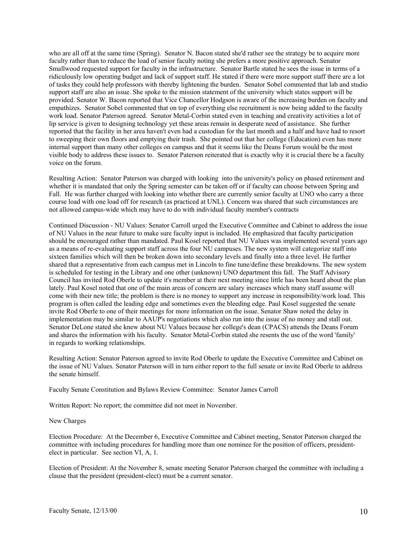who are all off at the same time (Spring). Senator N. Bacon stated she'd rather see the strategy be to acquire more faculty rather than to reduce the load of senior faculty noting she prefers a more positive approach. Senator Smallwood requested support for faculty in the infrastructure. Senator Bartle stated he sees the issue in terms of a ridiculously low operating budget and lack of support staff. He stated if there were more support staff there are a lot of tasks they could help professors with thereby lightening the burden. Senator Sobel commented that lab and studio support staff are also an issue. She spoke to the mission statement of the university which states support will be provided. Senator W. Bacon reported that Vice Chancellor Hodgson is aware of the increasing burden on faculty and empathizes. Senator Sobel commented that on top of everything else recruitment is now being added to the faculty work load. Senator Paterson agreed. Senator Metal-Corbin stated even in teaching and creativity activities a lot of lip service is given to designing technology yet these areas remain in desperate need of assistance. She further reported that the facility in her area haven't even had a custodian for the last month and a half and have had to resort to sweeping their own floors and emptying their trash. She pointed out that her college (Education) even has more internal support than many other colleges on campus and that it seems like the Deans Forum would be the most visible body to address these issues to. Senator Paterson reiterated that is exactly why it is crucial there be a faculty voice on the forum.

Resulting Action: Senator Paterson was charged with looking into the university's policy on phased retirement and whether it is mandated that only the Spring semester can be taken off or if faculty can choose between Spring and Fall. He was further charged with looking into whether there are currently senior faculty at UNO who carry a three course load with one load off for research (as practiced at UNL). Concern was shared that such circumstances are not allowed campus-wide which may have to do with individual faculty member's contracts

Continued Discussion - NU Values: Senator Carroll urged the Executive Committee and Cabinet to address the issue of NU Values in the near future to make sure faculty input is included. He emphasized that faculty participation should be encouraged rather than mandated. Paul Kosel reported that NU Values was implemented several years ago as a means of re-evaluating support staff across the four NU campuses. The new system will categorize staff into sixteen families which will then be broken down into secondary levels and finally into a three level. He further shared that a representative from each campus met in Lincoln to fine tune/define these breakdowns. The new system is scheduled for testing in the Library and one other (unknown) UNO department this fall. The Staff Advisory Council has invited Rod Oberle to update it's member at their next meeting since little has been heard about the plan lately. Paul Kosel noted that one of the main areas of concern are salary increases which many staff assume will come with their new title; the problem is there is no money to support any increase in responsibility/work load. This program is often called the leading edge and sometimes even the bleeding edge. Paul Kosel suggested the senate invite Rod Oberle to one of their meetings for more information on the issue. Senator Shaw noted the delay in implementation may be similar to AAUP's negotiations which also run into the issue of no money and stall out. Senator DeLone stated she knew about NU Values because her college's dean (CPACS) attends the Deans Forum and shares the information with his faculty. Senator Metal-Corbin stated she resents the use of the word 'family' in regards to working relationships.

Resulting Action: Senator Paterson agreed to invite Rod Oberle to update the Executive Committee and Cabinet on the issue of NU Values. Senator Paterson will in turn either report to the full senate or invite Rod Oberle to address the senate himself.

Faculty Senate Constitution and Bylaws Review Committee: Senator James Carroll

Written Report: No report; the committee did not meet in November.

#### New Charges

Election Procedure: At the December 6, Executive Committee and Cabinet meeting, Senator Paterson charged the committee with including procedures for handling more than one nominee for the position of officers, presidentelect in particular. See section VI, A, 1.

Election of President: At the November 8, senate meeting Senator Paterson charged the committee with including a clause that the president (president-elect) must be a current senator.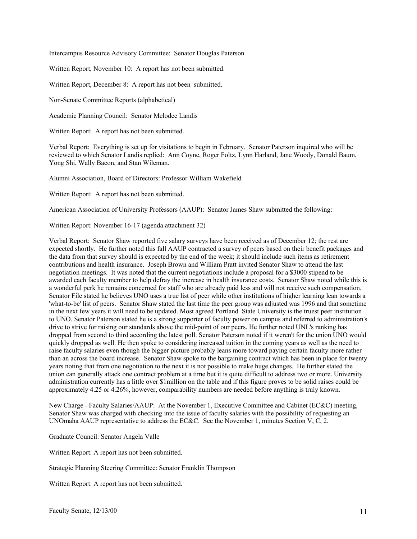Intercampus Resource Advisory Committee: Senator Douglas Paterson

Written Report, November 10: A report has not been submitted.

Written Report, December 8: A report has not been submitted.

Non-Senate Committee Reports (alphabetical)

Academic Planning Council: Senator Melodee Landis

Written Report: A report has not been submitted.

Verbal Report: Everything is set up for visitations to begin in February. Senator Paterson inquired who will be reviewed to which Senator Landis replied: Ann Coyne, Roger Foltz, Lynn Harland, Jane Woody, Donald Baum, Yong Shi, Wally Bacon, and Stan Wileman.

Alumni Association, Board of Directors: Professor William Wakefield

Written Report: A report has not been submitted.

American Association of University Professors (AAUP): Senator James Shaw submitted the following:

Written Report: November 16-17 (agenda attachment 32)

Verbal Report: Senator Shaw reported five salary surveys have been received as of December 12; the rest are expected shortly. He further noted this fall AAUP contracted a survey of peers based on their benefit packages and the data from that survey should is expected by the end of the week; it should include such items as retirement contributions and health insurance. Joseph Brown and William Pratt invited Senator Shaw to attend the last negotiation meetings. It was noted that the current negotiations include a proposal for a \$3000 stipend to be awarded each faculty member to help defray the increase in health insurance costs. Senator Shaw noted while this is a wonderful perk he remains concerned for staff who are already paid less and will not receive such compensation. Senator File stated he believes UNO uses a true list of peer while other institutions of higher learning lean towards a 'what-to-be' list of peers. Senator Shaw stated the last time the peer group was adjusted was 1996 and that sometime in the next few years it will need to be updated. Most agreed Portland State University is the truest peer institution to UNO. Senator Paterson stated he is a strong supporter of faculty power on campus and referred to administration's drive to strive for raising our standards above the mid-point of our peers. He further noted UNL's ranking has dropped from second to third according the latest poll. Senator Paterson noted if it weren't for the union UNO would quickly dropped as well. He then spoke to considering increased tuition in the coming years as well as the need to raise faculty salaries even though the bigger picture probably leans more toward paying certain faculty more rather than an across the board increase. Senator Shaw spoke to the bargaining contract which has been in place for twenty years noting that from one negotiation to the next it is not possible to make huge changes. He further stated the union can generally attack one contract problem at a time but it is quite difficult to address two or more. University administration currently has a little over \$1million on the table and if this figure proves to be solid raises could be approximately 4.25 or 4.26%, however, comparability numbers are needed before anything is truly known.

New Charge - Faculty Salaries/AAUP: At the November 1, Executive Committee and Cabinet (EC&C) meeting, Senator Shaw was charged with checking into the issue of faculty salaries with the possibility of requesting an UNOmaha AAUP representative to address the EC&C. See the November 1, minutes Section V, C, 2.

Graduate Council: Senator Angela Valle

Written Report: A report has not been submitted.

Strategic Planning Steering Committee: Senator Franklin Thompson

Written Report: A report has not been submitted.